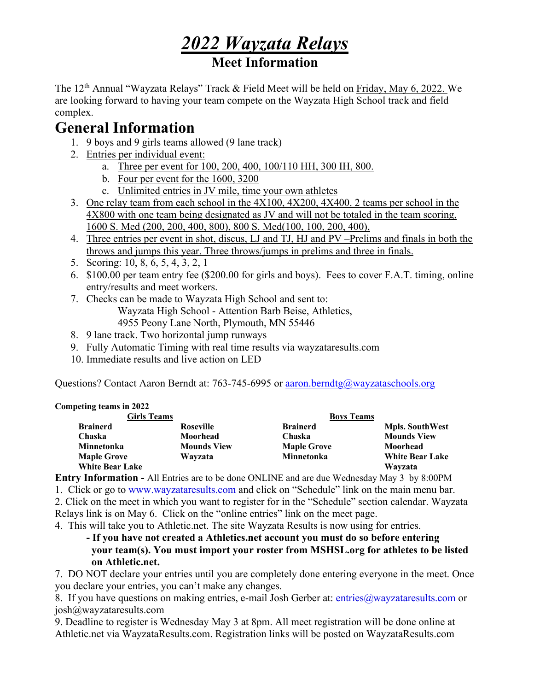# *2022 Wayzata Relays*

# **Meet Information**

The 12<sup>th</sup> Annual "Wayzata Relays" Track & Field Meet will be held on Friday, May 6, 2022. We are looking forward to having your team compete on the Wayzata High School track and field complex.

# **General Information**

- 1. 9 boys and 9 girls teams allowed (9 lane track)
- 2. Entries per individual event:
	- a. Three per event for 100, 200, 400, 100/110 HH, 300 IH, 800.
	- b. Four per event for the 1600, 3200
	- c. Unlimited entries in JV mile, time your own athletes
- 3. One relay team from each school in the 4X100, 4X200, 4X400. 2 teams per school in the 4X800 with one team being designated as JV and will not be totaled in the team scoring, 1600 S. Med (200, 200, 400, 800), 800 S. Med(100, 100, 200, 400),
- 4. Three entries per event in shot, discus, LJ and TJ, HJ and PV –Prelims and finals in both the throws and jumps this year. Three throws/jumps in prelims and three in finals.
- 5. Scoring: 10, 8, 6, 5, 4, 3, 2, 1
- 6. \$100.00 per team entry fee (\$200.00 for girls and boys). Fees to cover F.A.T. timing, online entry/results and meet workers.
- 7. Checks can be made to Wayzata High School and sent to: Wayzata High School - Attention Barb Beise, Athletics, 4955 Peony Lane North, Plymouth, MN 55446
- 8. 9 lane track. Two horizontal jump runways
- 9. Fully Automatic Timing with real time results via wayzataresults.com
- 10. Immediate results and live action on LED

Questions? Contact Aaron Berndt at: 763-745-6995 or **aaron.berndtg@wayzataschools.org** 

#### **Competing teams in 2022**

| <b>Girls Teams</b>     |                    | <b>Boys Teams</b>  |                        |
|------------------------|--------------------|--------------------|------------------------|
| <b>Brainerd</b>        | Roseville          | <b>Brainerd</b>    | <b>Mpls. SouthWest</b> |
| Chaska                 | Moorhead           | Chaska             | <b>Mounds View</b>     |
| Minnetonka             | <b>Mounds View</b> | <b>Maple Grove</b> | Moorhead               |
| <b>Maple Grove</b>     | Wayzata            | <b>Minnetonka</b>  | <b>White Bear Lake</b> |
| <b>White Bear Lake</b> |                    |                    | Wayzata                |

**Entry Information -** All Entries are to be done ONLINE and are due Wednesday May 3 by 8:00PM

1. Click or go to www.wayzataresults.com and click on "Schedule" link on the main menu bar.

2. Click on the meet in which you want to register for in the "Schedule" section calendar. Wayzata Relays link is on May 6. Click on the "online entries" link on the meet page.

4. This will take you to Athletic.net. The site Wayzata Results is now using for entries.

**- If you have not created a Athletics.net account you must do so before entering your team(s). You must import your roster from MSHSL.org for athletes to be listed on Athletic.net.** 

7. DO NOT declare your entries until you are completely done entering everyone in the meet. Once you declare your entries, you can't make any changes.

8. If you have questions on making entries, e-mail Josh Gerber at: entries@wayzataresults.com or josh@wayzataresults.com

9. Deadline to register is Wednesday May 3 at 8pm. All meet registration will be done online at Athletic.net via WayzataResults.com. Registration links will be posted on WayzataResults.com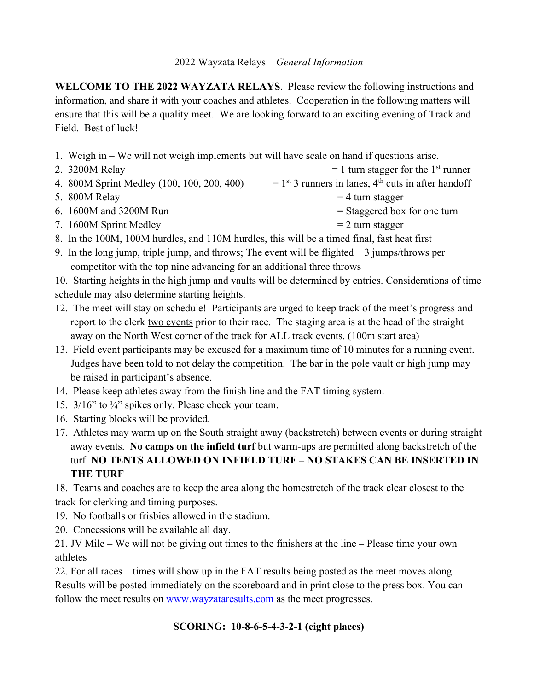**WELCOME TO THE 2022 WAYZATA RELAYS**. Please review the following instructions and information, and share it with your coaches and athletes. Cooperation in the following matters will ensure that this will be a quality meet. We are looking forward to an exciting evening of Track and Field. Best of luck!

- 1. Weigh in We will not weigh implements but will have scale on hand if questions arise.
- 2. 3200M Relay  $= 1$  turn stagger for the 1<sup>st</sup> runner 4. 800M Sprint Medley (100, 100, 200, 400)  $= 1^{st}$  3 runners in lanes, 4<sup>th</sup> cuts in after handoff 5.  $800M$  Relay  $= 4$  turn stagger
- 6.  $1600M$  and  $3200M$  Run  $=$  Staggered box for one turn
- 7.  $1600M$  Sprint Medley  $= 2$  turn stagger

8. In the 100M, 100M hurdles, and 110M hurdles, this will be a timed final, fast heat first

9. In the long jump, triple jump, and throws; The event will be flighted  $-3$  jumps/throws per competitor with the top nine advancing for an additional three throws

10. Starting heights in the high jump and vaults will be determined by entries. Considerations of time schedule may also determine starting heights.

- 12. The meet will stay on schedule! Participants are urged to keep track of the meet's progress and report to the clerk two events prior to their race. The staging area is at the head of the straight away on the North West corner of the track for ALL track events. (100m start area)
- 13. Field event participants may be excused for a maximum time of 10 minutes for a running event. Judges have been told to not delay the competition. The bar in the pole vault or high jump may be raised in participant's absence.
- 14. Please keep athletes away from the finish line and the FAT timing system.
- 15. 3/16" to ¼" spikes only. Please check your team.
- 16. Starting blocks will be provided.
- 17. Athletes may warm up on the South straight away (backstretch) between events or during straight away events. **No camps on the infield turf** but warm-ups are permitted along backstretch of the turf. **NO TENTS ALLOWED ON INFIELD TURF – NO STAKES CAN BE INSERTED IN THE TURF**

18. Teams and coaches are to keep the area along the homestretch of the track clear closest to the track for clerking and timing purposes.

- 19. No footballs or frisbies allowed in the stadium.
- 20. Concessions will be available all day.

21. JV Mile – We will not be giving out times to the finishers at the line – Please time your own athletes

22. For all races – times will show up in the FAT results being posted as the meet moves along. Results will be posted immediately on the scoreboard and in print close to the press box. You can follow the meet results on www.wayzataresults.com as the meet progresses.

### **SCORING: 10-8-6-5-4-3-2-1 (eight places)**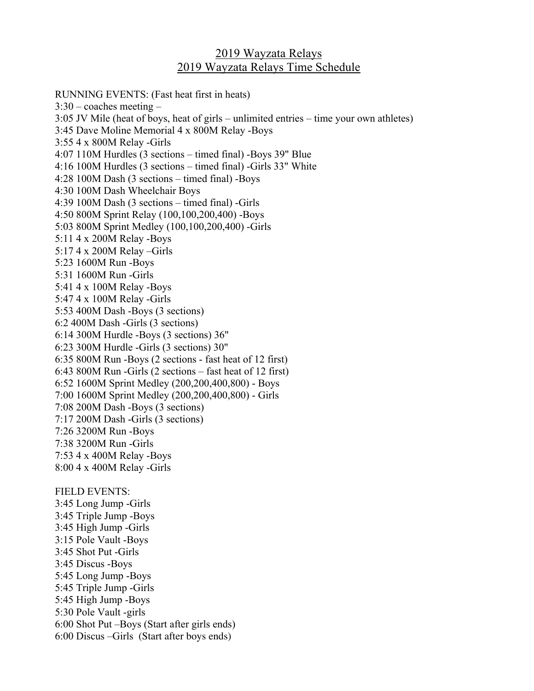## 2019 Wayzata Relays 2019 Wayzata Relays Time Schedule

RUNNING EVENTS: (Fast heat first in heats)  $3:30$  – coaches meeting – 3:05 JV Mile (heat of boys, heat of girls – unlimited entries – time your own athletes) 3:45 Dave Moline Memorial 4 x 800M Relay -Boys 3:55 4 x 800M Relay -Girls 4:07 110M Hurdles (3 sections – timed final) -Boys 39" Blue 4:16 100M Hurdles (3 sections – timed final) -Girls 33" White 4:28 100M Dash (3 sections – timed final) -Boys 4:30 100M Dash Wheelchair Boys 4:39 100M Dash (3 sections – timed final) -Girls 4:50 800M Sprint Relay (100,100,200,400) -Boys 5:03 800M Sprint Medley (100,100,200,400) -Girls 5:11 4 x 200M Relay -Boys 5:17 4 x 200M Relay –Girls 5:23 1600M Run -Boys 5:31 1600M Run -Girls 5:41 4 x 100M Relay -Boys 5:47 4 x 100M Relay -Girls 5:53 400M Dash -Boys (3 sections) 6:2 400M Dash -Girls (3 sections) 6:14 300M Hurdle -Boys (3 sections) 36" 6:23 300M Hurdle -Girls (3 sections) 30" 6:35 800M Run -Boys (2 sections - fast heat of 12 first) 6:43 800M Run -Girls (2 sections – fast heat of 12 first) 6:52 1600M Sprint Medley (200,200,400,800) - Boys 7:00 1600M Sprint Medley (200,200,400,800) - Girls 7:08 200M Dash -Boys (3 sections) 7:17 200M Dash -Girls (3 sections) 7:26 3200M Run -Boys 7:38 3200M Run -Girls 7:53 4 x 400M Relay -Boys 8:00 4 x 400M Relay -Girls FIELD EVENTS: 3:45 Long Jump -Girls 3:45 Triple Jump -Boys 3:45 High Jump -Girls 3:15 Pole Vault -Boys 3:45 Shot Put -Girls 3:45 Discus -Boys 5:45 Long Jump -Boys 5:45 Triple Jump -Girls 5:45 High Jump -Boys 5:30 Pole Vault -girls 6:00 Shot Put –Boys (Start after girls ends) 6:00 Discus –Girls (Start after boys ends)